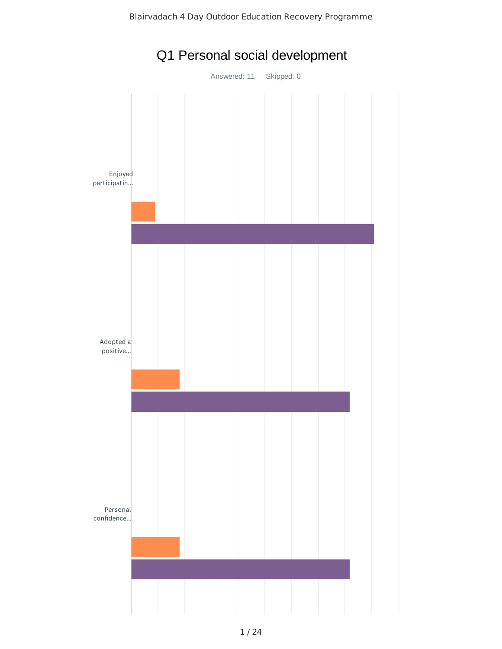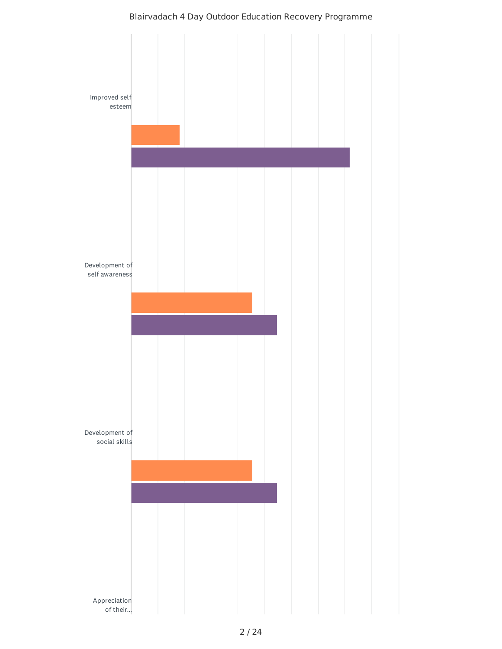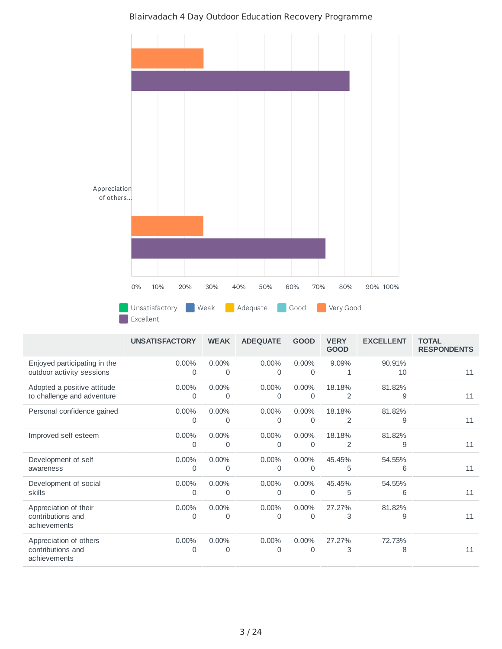

Blairvadach 4 Day Outdoor Education Recovery Programme

|                                                             | <b>UNSATISFACTORY</b> | <b>WEAK</b>          | <b>ADEQUATE</b> | <b>GOOD</b>          | <b>VERY</b><br><b>GOOD</b> | <b>EXCELLENT</b> | <b>TOTAL</b><br><b>RESPONDENTS</b> |
|-------------------------------------------------------------|-----------------------|----------------------|-----------------|----------------------|----------------------------|------------------|------------------------------------|
| Enjoyed participating in the<br>outdoor activity sessions   | $0.00\%$<br>0         | $0.00\%$<br>0        | $0.00\%$<br>0   | $0.00\%$<br>0        | 9.09%<br>1                 | 90.91%<br>10     | 11                                 |
| Adopted a positive attitude<br>to challenge and adventure   | 0.00%<br>0            | $0.00\%$<br>$\Omega$ | 0.00%<br>0      | $0.00\%$<br>0        | 18.18%<br>2                | 81.82%<br>9      | 11                                 |
| Personal confidence gained                                  | 0.00%<br>0            | $0.00\%$<br>0        | $0.00\%$<br>0   | $0.00\%$<br>$\Omega$ | 18.18%<br>2                | 81.82%<br>9      | 11                                 |
| Improved self esteem                                        | 0.00%<br>0            | 0.00%<br>$\Omega$    | 0.00%<br>0      | 0.00%<br>$\Omega$    | 18.18%<br>2                | 81.82%<br>9      | 11                                 |
| Development of self<br>awareness                            | $0.00\%$<br>0         | $0.00\%$<br>0        | $0.00\%$<br>0   | $0.00\%$<br>$\Omega$ | 45.45%<br>5                | 54.55%<br>6      | 11                                 |
| Development of social<br>skills                             | 0.00%<br>0            | 0.00%<br>0           | 0.00%<br>0      | 0.00%<br>$\Omega$    | 45.45%<br>5                | 54.55%<br>6      | 11                                 |
| Appreciation of their<br>contributions and<br>achievements  | 0.00%<br>Ω            | 0.00%<br>0           | $0.00\%$<br>Ω   | 0.00%<br>$\Omega$    | 27.27%<br>3                | 81.82%<br>9      | 11                                 |
| Appreciation of others<br>contributions and<br>achievements | $0.00\%$<br>0         | 0.00%<br>0           | 0.00%<br>0      | 0.00%<br>0           | 27.27%<br>3                | 72.73%<br>8      | 11                                 |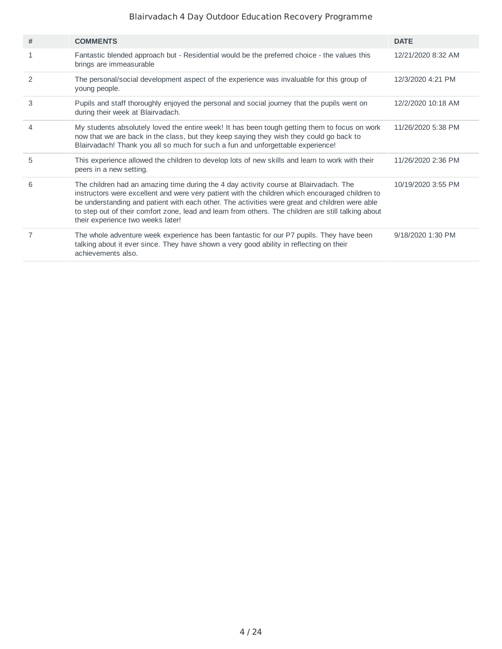| #              | <b>COMMENTS</b>                                                                                                                                                                                                                                                                                                                                                                                                                        | <b>DATE</b>        |
|----------------|----------------------------------------------------------------------------------------------------------------------------------------------------------------------------------------------------------------------------------------------------------------------------------------------------------------------------------------------------------------------------------------------------------------------------------------|--------------------|
| 1              | Fantastic blended approach but - Residential would be the preferred choice - the values this<br>brings are immeasurable                                                                                                                                                                                                                                                                                                                | 12/21/2020 8:32 AM |
| 2              | The personal/social development aspect of the experience was invaluable for this group of<br>young people.                                                                                                                                                                                                                                                                                                                             | 12/3/2020 4:21 PM  |
| 3              | Pupils and staff thoroughly enjoyed the personal and social journey that the pupils went on<br>during their week at Blairvadach.                                                                                                                                                                                                                                                                                                       | 12/2/2020 10:18 AM |
| 4              | My students absolutely loved the entire week! It has been tough getting them to focus on work<br>now that we are back in the class, but they keep saying they wish they could go back to<br>Blairvadach! Thank you all so much for such a fun and unforgettable experience!                                                                                                                                                            | 11/26/2020 5:38 PM |
| 5              | This experience allowed the children to develop lots of new skills and learn to work with their<br>peers in a new setting.                                                                                                                                                                                                                                                                                                             | 11/26/2020 2:36 PM |
| 6              | The children had an amazing time during the 4 day activity course at Blairvadach. The<br>instructors were excellent and were very patient with the children which encouraged children to<br>be understanding and patient with each other. The activities were great and children were able<br>to step out of their comfort zone, lead and learn from others. The children are still talking about<br>their experience two weeks later! | 10/19/2020 3:55 PM |
| $\overline{7}$ | The whole adventure week experience has been fantastic for our P7 pupils. They have been<br>talking about it ever since. They have shown a very good ability in reflecting on their<br>achievements also.                                                                                                                                                                                                                              | 9/18/2020 1:30 PM  |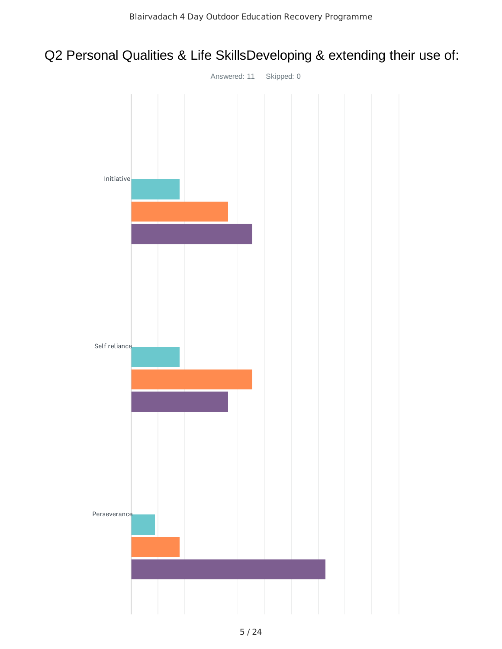## Q2 Personal Qualities & Life SkillsDeveloping & extending their use of:

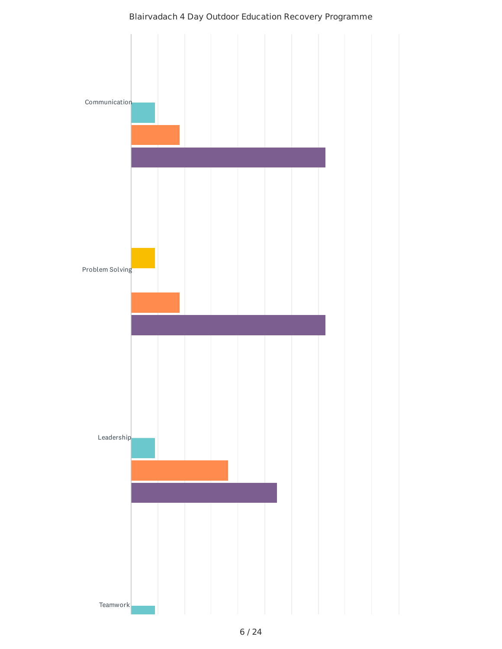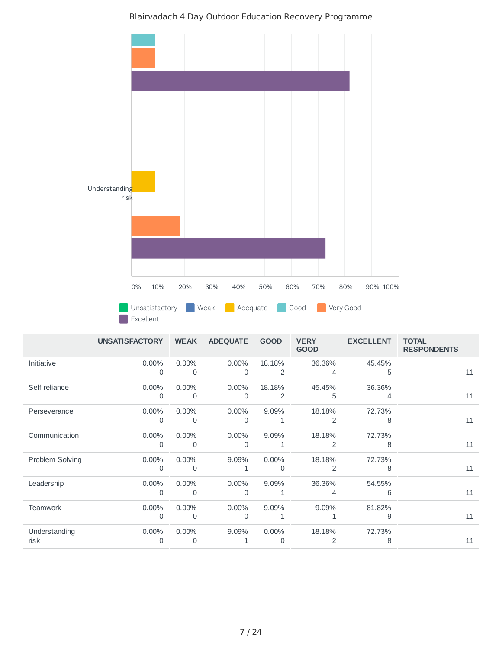

|                       | <b>UNSATISFACTORY</b> | <b>WEAK</b>   | <b>ADEQUATE</b>   | <b>GOOD</b>   | <b>VERY</b><br><b>GOOD</b> | <b>EXCELLENT</b> | <b>TOTAL</b><br><b>RESPONDENTS</b> |
|-----------------------|-----------------------|---------------|-------------------|---------------|----------------------------|------------------|------------------------------------|
| Initiative            | $0.00\%$<br>0         | $0.00\%$<br>0 | $0.00\%$<br>0     | 18.18%<br>2   | 36.36%<br>4                | 45.45%<br>5      | 11                                 |
| Self reliance         | 0.00%<br>$\Omega$     | 0.00%<br>0    | 0.00%<br>$\Omega$ | 18.18%<br>2   | 45.45%<br>5                | 36.36%<br>4      | 11                                 |
| Perseverance          | 0.00%<br>$\Omega$     | 0.00%<br>0    | 0.00%<br>$\Omega$ | 9.09%         | 18.18%<br>2                | 72.73%<br>8      | 11                                 |
| Communication         | $0.00\%$<br>$\Omega$  | $0.00\%$<br>0 | $0.00\%$<br>0     | 9.09%<br>1    | 18.18%<br>2                | 72.73%<br>8      | 11                                 |
| Problem Solving       | 0.00%<br>0            | 0.00%<br>0    | 9.09%             | $0.00\%$<br>0 | 18.18%<br>2                | 72.73%<br>8      | 11                                 |
| Leadership            | 0.00%<br>0            | 0.00%<br>0    | 0.00%<br>$\Omega$ | 9.09%         | 36.36%<br>4                | 54.55%<br>6      | 11                                 |
| <b>Teamwork</b>       | 0.00%<br>$\Omega$     | $0.00\%$<br>0 | $0.00\%$<br>0     | 9.09%         | 9.09%                      | 81.82%<br>9      | 11                                 |
| Understanding<br>risk | 0.00%<br>0            | $0.00\%$<br>0 | 9.09%             | $0.00\%$<br>0 | 18.18%                     | 72.73%<br>8      | 11                                 |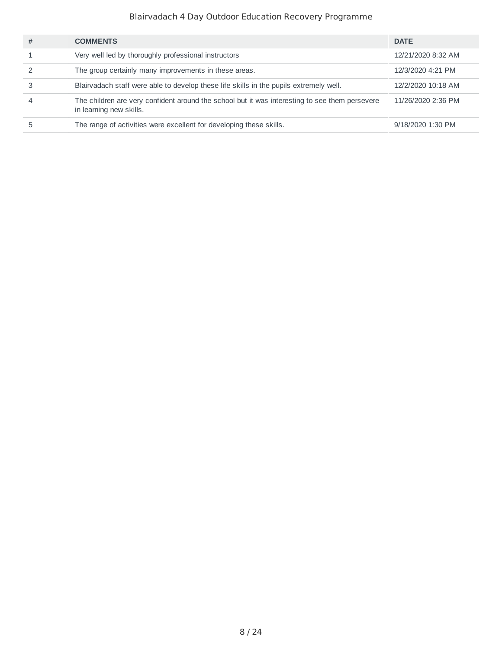| # | <b>COMMENTS</b>                                                                                                           | <b>DATE</b>        |
|---|---------------------------------------------------------------------------------------------------------------------------|--------------------|
|   | Very well led by thoroughly professional instructors                                                                      | 12/21/2020 8:32 AM |
|   | The group certainly many improvements in these areas.                                                                     | 12/3/2020 4:21 PM  |
|   | Blairvadach staff were able to develop these life skills in the pupils extremely well.                                    | 12/2/2020 10:18 AM |
|   | The children are very confident around the school but it was interesting to see them persevere<br>in learning new skills. | 11/26/2020 2:36 PM |
|   | The range of activities were excellent for developing these skills.                                                       | 9/18/2020 1:30 PM  |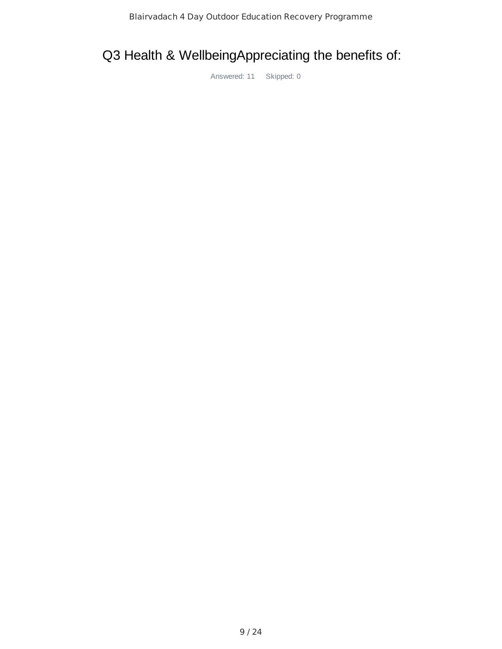## Q3 Health & WellbeingAppreciating the benefits of: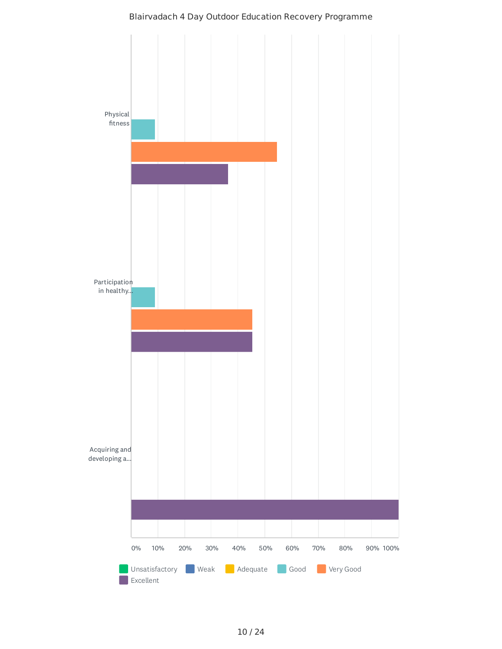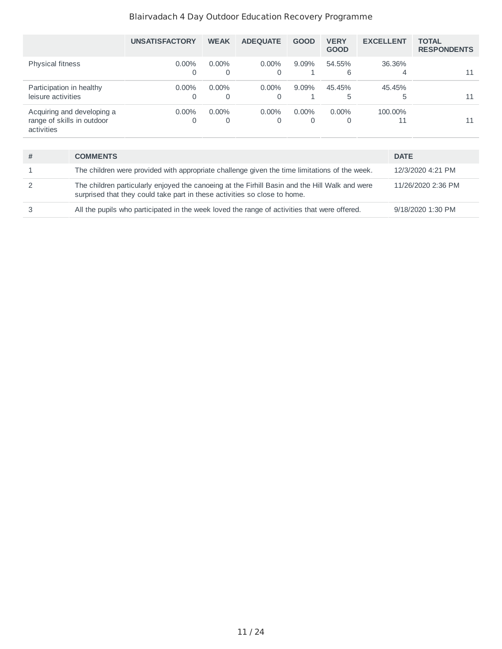|                                                                        | <b>UNSATISFACTORY</b> | <b>WEAK</b>   | <b>ADEOUATE</b> | <b>GOOD</b>   | <b>VERY</b><br><b>GOOD</b> | <b>EXCELLENT</b> | <b>TOTAL</b><br><b>RESPONDENTS</b> |
|------------------------------------------------------------------------|-----------------------|---------------|-----------------|---------------|----------------------------|------------------|------------------------------------|
| <b>Physical fitness</b>                                                | $0.00\%$<br>Ω         | $0.00\%$<br>0 | $0.00\%$<br>0   | $9.09\%$      | 54.55%<br>6                | 36.36%<br>4      | 11                                 |
| Participation in healthy<br>leisure activities                         | $0.00\%$<br>0         | $0.00\%$<br>0 | $0.00\%$<br>0   | $9.09\%$      | 45.45%<br>5                | 45.45%<br>5      | 11                                 |
| Acquiring and developing a<br>range of skills in outdoor<br>activities | $0.00\%$<br>0         | $0.00\%$<br>0 | $0.00\%$<br>0   | $0.00\%$<br>0 | $0.00\%$                   | 100.00%<br>11    | 11                                 |

| # | <b>COMMENTS</b>                                                                                                                                                             | <b>DATE</b>        |
|---|-----------------------------------------------------------------------------------------------------------------------------------------------------------------------------|--------------------|
|   | The children were provided with appropriate challenge given the time limitations of the week.                                                                               | 12/3/2020 4:21 PM  |
|   | The children particularly enjoyed the canoeing at the Firhill Basin and the Hill Walk and were<br>surprised that they could take part in these activities so close to home. | 11/26/2020 2:36 PM |
|   | All the pupils who participated in the week loved the range of activities that were offered.                                                                                | 9/18/2020 1:30 PM  |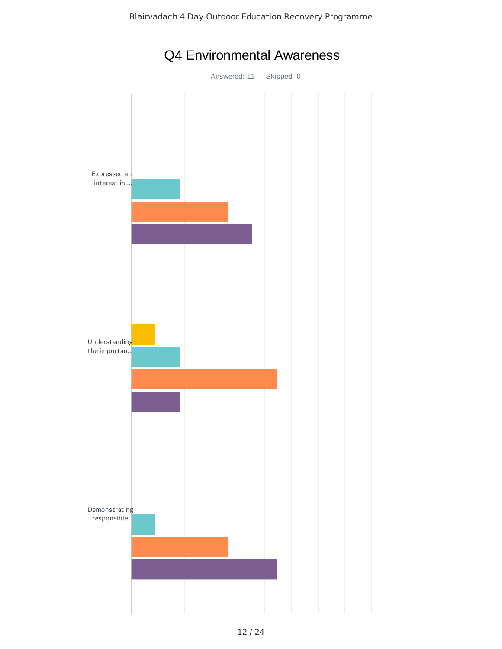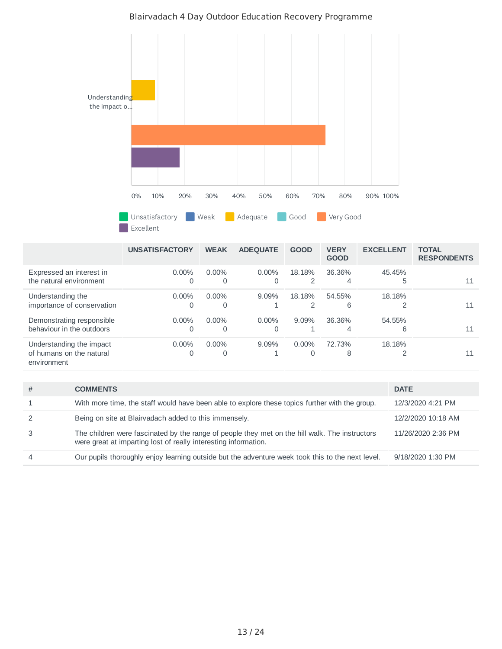

|                                                                     | <b>UNSATISFACTORY</b> | <b>WEAK</b>   | <b>ADEQUATE</b> | <b>GOOD</b> | <b>VERY</b><br><b>GOOD</b> | <b>EXCELLENT</b> | <b>TOTAL</b><br><b>RESPONDENTS</b> |
|---------------------------------------------------------------------|-----------------------|---------------|-----------------|-------------|----------------------------|------------------|------------------------------------|
| Expressed an interest in<br>the natural environment                 | $0.00\%$<br>Ω         | $0.00\%$<br>0 | $0.00\%$        | 18.18%      | 36.36%<br>4                | 45.45%<br>5      | 11                                 |
| Understanding the<br>importance of conservation                     | $0.00\%$              | $0.00\%$      | $9.09\%$        | 18.18%      | 54.55%<br>6                | 18.18%           | 11                                 |
| Demonstrating responsible<br>behaviour in the outdoors              | $0.00\%$              | $0.00\%$      | $0.00\%$        | 9.09%       | 36.36%<br>4                | 54.55%<br>6      | 11                                 |
| Understanding the impact<br>of humans on the natural<br>environment | $0.00\%$<br>0         | $0.00\%$      | $9.09\%$        | $0.00\%$    | 72.73%<br>8                | 18.18%           | 11                                 |

| With more time, the staff would have been able to explore these topics further with the group.<br>12/3/2020 4:21 PM<br>Being on site at Blairvadach added to this immensely.<br>12/2/2020 10:18 AM |  |
|----------------------------------------------------------------------------------------------------------------------------------------------------------------------------------------------------|--|
|                                                                                                                                                                                                    |  |
|                                                                                                                                                                                                    |  |
| The children were fascinated by the range of people they met on the hill walk. The instructors<br>11/26/2020 2:36 PM<br>were great at imparting lost of really interesting information.            |  |
| Our pupils thoroughly enjoy learning outside but the adventure week took this to the next level.<br>9/18/2020 1:30 PM                                                                              |  |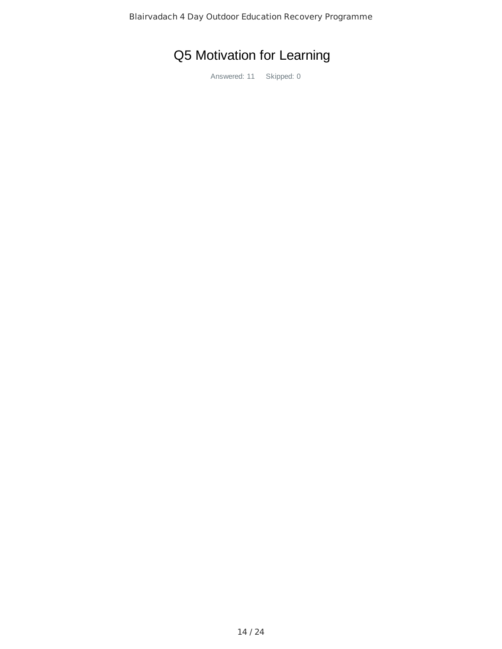# Q5 Motivation for Learning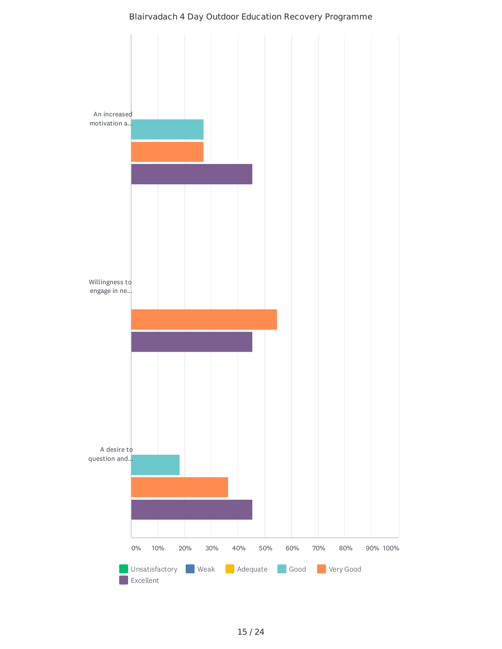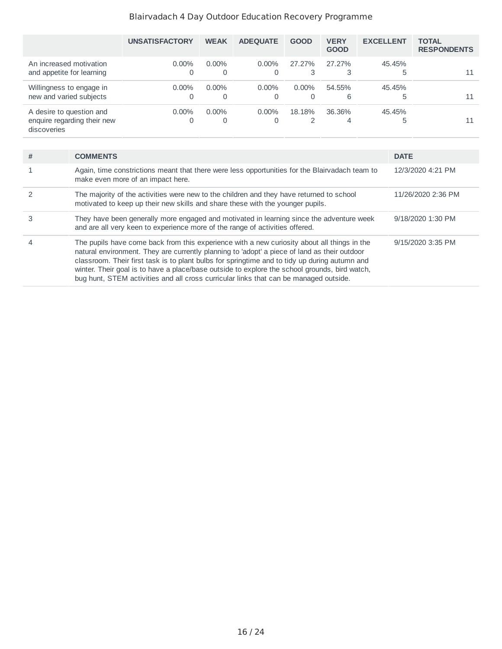|                                                                        | <b>UNSATISFACTORY</b> | <b>WEAK</b>   | <b>ADEOUATE</b> | <b>GOOD</b>          | <b>VERY</b><br><b>GOOD</b> | <b>EXCELLENT</b> | <b>TOTAL</b><br><b>RESPONDENTS</b> |
|------------------------------------------------------------------------|-----------------------|---------------|-----------------|----------------------|----------------------------|------------------|------------------------------------|
| An increased motivation<br>and appetite for learning                   | $0.00\%$<br>0         | $0.00\%$<br>0 | $0.00\%$<br>0   | 27.27%<br>3          | 27.27%                     | 45.45%<br>5      | 11                                 |
| Willingness to engage in<br>new and varied subjects                    | $0.00\%$<br>0         | $0.00\%$<br>0 | $0.00\%$<br>0   | $0.00\%$<br>$\Omega$ | 54.55%<br>6                | 45.45%<br>5      | 11                                 |
| A desire to question and<br>enquire regarding their new<br>discoveries | $0.00\%$<br>0         | $0.00\%$<br>0 | $0.00\%$<br>0   | 18.18%               | 36.36%<br>4                | 45.45%<br>5      | 11                                 |

| # | <b>COMMENTS</b>                                                                                                                                                                                                                                                                                                                                                                                                                                                                        | <b>DATE</b>        |
|---|----------------------------------------------------------------------------------------------------------------------------------------------------------------------------------------------------------------------------------------------------------------------------------------------------------------------------------------------------------------------------------------------------------------------------------------------------------------------------------------|--------------------|
|   | Again, time constrictions meant that there were less opportunities for the Blairvadach team to<br>make even more of an impact here.                                                                                                                                                                                                                                                                                                                                                    | 12/3/2020 4:21 PM  |
|   | The majority of the activities were new to the children and they have returned to school<br>motivated to keep up their new skills and share these with the younger pupils.                                                                                                                                                                                                                                                                                                             | 11/26/2020 2:36 PM |
|   | They have been generally more engaged and motivated in learning since the adventure week<br>and are all very keen to experience more of the range of activities offered.                                                                                                                                                                                                                                                                                                               | 9/18/2020 1:30 PM  |
| 4 | The pupils have come back from this experience with a new curiosity about all things in the<br>natural environment. They are currently planning to 'adopt' a piece of land as their outdoor<br>classroom. Their first task is to plant bulbs for springtime and to tidy up during autumn and<br>winter. Their goal is to have a place/base outside to explore the school grounds, bird watch,<br>bug hunt, STEM activities and all cross curricular links that can be managed outside. | 9/15/2020 3:35 PM  |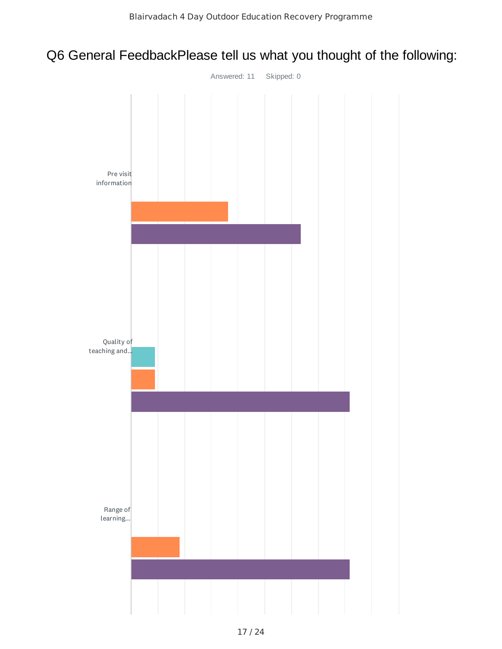## Q6 General FeedbackPlease tell us what you thought of the following:

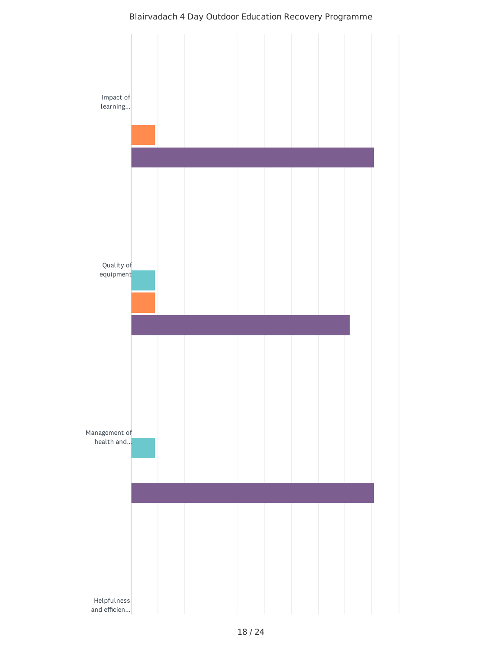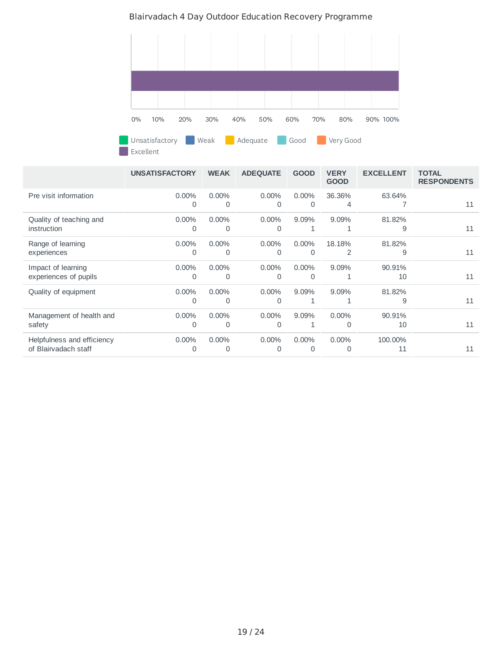

Excellent

|                            | <b>UNSATISFACTORY</b>      | <b>WEAK</b> | <b>ADEQUATE</b> | <b>GOOD</b>   | <b>VERY</b><br><b>GOOD</b> | <b>EXCELLENT</b> | <b>TOTAL</b><br><b>RESPONDENTS</b> |
|----------------------------|----------------------------|-------------|-----------------|---------------|----------------------------|------------------|------------------------------------|
| Pre visit information      | $0.00\%$<br>$\overline{0}$ | 0.00%<br>0  | $0.00\%$<br>0   | $0.00\%$<br>0 | 36.36%<br>4                | 63.64%           | 11                                 |
| Quality of teaching and    | 0.00%                      | $0.00\%$    | $0.00\%$        | 9.09%         | 9.09%                      | 81.82%           | 11                                 |
| instruction                | 0                          | 0           | 0               | 1             | 1                          | 9                |                                    |
| Range of learning          | 0.00%                      | 0.00%       | 0.00%           | 0.00%         | 18.18%                     | 81.82%           | 11                                 |
| experiences                | $\mathbf 0$                | 0           | 0               | 0             | 2                          | 9                |                                    |
| Impact of learning         | $0.00\%$                   | 0.00%       | $0.00\%$        | $0.00\%$      | 9.09%                      | 90.91%           | 11                                 |
| experiences of pupils      | $\Omega$                   | 0           | 0               | $\Omega$      | 1                          | 10               |                                    |
| Quality of equipment       | 0.00%<br>$\Omega$          | 0.00%<br>0  | $0.00\%$<br>0   | 9.09%<br>1    | 9.09%<br>1                 | 81.82%<br>9      | 11                                 |
| Management of health and   | 0.00%                      | 0.00%       | $0.00\%$        | 9.09%         | $0.00\%$                   | 90.91%           | 11                                 |
| safety                     | $\Omega$                   | $\Omega$    | 0               | 1             | $\Omega$                   | 10               |                                    |
| Helpfulness and efficiency | 0.00%                      | $0.00\%$    | 0.00%           | 0.00%         | $0.00\%$                   | 100.00%          | 11                                 |
| of Blairvadach staff       | 0                          | $\Omega$    | 0               | $\Omega$      | $\Omega$                   | 11               |                                    |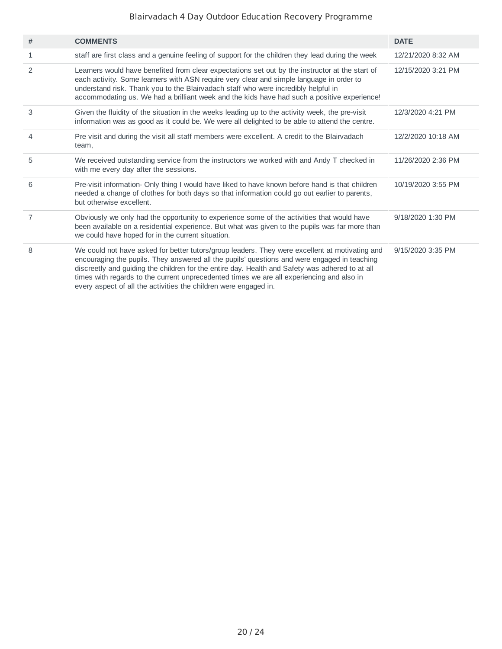| # | <b>COMMENTS</b>                                                                                                                                                                                                                                                                                                                                                                                                                                                    | <b>DATE</b>        |
|---|--------------------------------------------------------------------------------------------------------------------------------------------------------------------------------------------------------------------------------------------------------------------------------------------------------------------------------------------------------------------------------------------------------------------------------------------------------------------|--------------------|
| 1 | staff are first class and a genuine feeling of support for the children they lead during the week                                                                                                                                                                                                                                                                                                                                                                  | 12/21/2020 8:32 AM |
| 2 | Learners would have benefited from clear expectations set out by the instructor at the start of<br>each activity. Some learners with ASN require very clear and simple language in order to<br>understand risk. Thank you to the Blairvadach staff who were incredibly helpful in<br>accommodating us. We had a brilliant week and the kids have had such a positive experience!                                                                                   | 12/15/2020 3:21 PM |
| 3 | Given the fluidity of the situation in the weeks leading up to the activity week, the pre-visit<br>information was as good as it could be. We were all delighted to be able to attend the centre.                                                                                                                                                                                                                                                                  | 12/3/2020 4:21 PM  |
| 4 | Pre visit and during the visit all staff members were excellent. A credit to the Blairvadach<br>team,                                                                                                                                                                                                                                                                                                                                                              | 12/2/2020 10:18 AM |
| 5 | We received outstanding service from the instructors we worked with and Andy T checked in<br>with me every day after the sessions.                                                                                                                                                                                                                                                                                                                                 | 11/26/2020 2:36 PM |
| 6 | Pre-visit information- Only thing I would have liked to have known before hand is that children<br>needed a change of clothes for both days so that information could go out earlier to parents,<br>but otherwise excellent.                                                                                                                                                                                                                                       | 10/19/2020 3:55 PM |
| 7 | Obviously we only had the opportunity to experience some of the activities that would have<br>been available on a residential experience. But what was given to the pupils was far more than<br>we could have hoped for in the current situation.                                                                                                                                                                                                                  | 9/18/2020 1:30 PM  |
| 8 | We could not have asked for better tutors/group leaders. They were excellent at motivating and<br>encouraging the pupils. They answered all the pupils' questions and were engaged in teaching<br>discreetly and guiding the children for the entire day. Health and Safety was adhered to at all<br>times with regards to the current unprecedented times we are all experiencing and also in<br>every aspect of all the activities the children were engaged in. | 9/15/2020 3:35 PM  |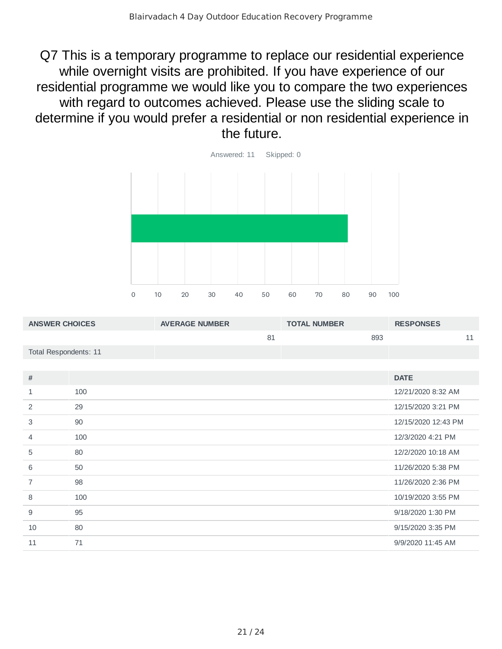Q7 This is a temporary programme to replace our residential experience while overnight visits are prohibited. If you have experience of our residential programme we would like you to compare the two experiences with regard to outcomes achieved. Please use the sliding scale to determine if you would prefer a residential or non residential experience in the future.



| <b>ANSWER CHOICES</b> |     | <b>AVERAGE NUMBER</b> | <b>TOTAL NUMBER</b> |     | <b>RESPONSES</b>    |    |
|-----------------------|-----|-----------------------|---------------------|-----|---------------------|----|
|                       |     | 81                    |                     | 893 |                     | 11 |
| Total Respondents: 11 |     |                       |                     |     |                     |    |
|                       |     |                       |                     |     |                     |    |
| $\#$                  |     |                       |                     |     | <b>DATE</b>         |    |
| $\mathbf{1}$          | 100 |                       |                     |     | 12/21/2020 8:32 AM  |    |
| 2                     | 29  |                       |                     |     | 12/15/2020 3:21 PM  |    |
| 3                     | 90  |                       |                     |     | 12/15/2020 12:43 PM |    |
| 4                     | 100 |                       |                     |     | 12/3/2020 4:21 PM   |    |
| 5                     | 80  |                       |                     |     | 12/2/2020 10:18 AM  |    |
| 6                     | 50  |                       |                     |     | 11/26/2020 5:38 PM  |    |
| $\overline{7}$        | 98  |                       |                     |     | 11/26/2020 2:36 PM  |    |
| 8                     | 100 |                       |                     |     | 10/19/2020 3:55 PM  |    |
| 9                     | 95  |                       |                     |     | 9/18/2020 1:30 PM   |    |
| 10                    | 80  |                       |                     |     | 9/15/2020 3:35 PM   |    |
| 11                    | 71  |                       |                     |     | 9/9/2020 11:45 AM   |    |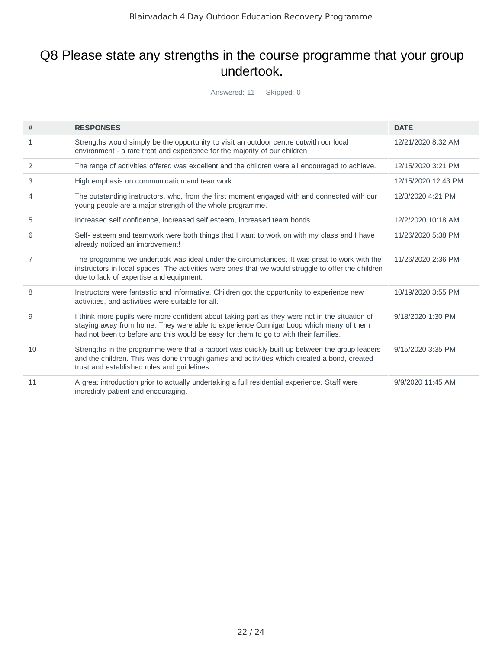### Q8 Please state any strengths in the course programme that your group undertook.

| #              | <b>RESPONSES</b>                                                                                                                                                                                                                                                                | <b>DATE</b>         |
|----------------|---------------------------------------------------------------------------------------------------------------------------------------------------------------------------------------------------------------------------------------------------------------------------------|---------------------|
| 1              | Strengths would simply be the opportunity to visit an outdoor centre outwith our local<br>environment - a rare treat and experience for the majority of our children                                                                                                            | 12/21/2020 8:32 AM  |
| 2              | The range of activities offered was excellent and the children were all encouraged to achieve.                                                                                                                                                                                  | 12/15/2020 3:21 PM  |
| 3              | High emphasis on communication and teamwork                                                                                                                                                                                                                                     | 12/15/2020 12:43 PM |
| 4              | The outstanding instructors, who, from the first moment engaged with and connected with our<br>young people are a major strength of the whole programme.                                                                                                                        | 12/3/2020 4:21 PM   |
| 5              | Increased self confidence, increased self esteem, increased team bonds.                                                                                                                                                                                                         | 12/2/2020 10:18 AM  |
| 6              | Self- esteem and teamwork were both things that I want to work on with my class and I have<br>already noticed an improvement!                                                                                                                                                   | 11/26/2020 5:38 PM  |
| $\overline{7}$ | The programme we undertook was ideal under the circumstances. It was great to work with the<br>instructors in local spaces. The activities were ones that we would struggle to offer the children<br>due to lack of expertise and equipment.                                    | 11/26/2020 2:36 PM  |
| 8              | Instructors were fantastic and informative. Children got the opportunity to experience new<br>activities, and activities were suitable for all.                                                                                                                                 | 10/19/2020 3:55 PM  |
| 9              | I think more pupils were more confident about taking part as they were not in the situation of<br>staying away from home. They were able to experience Cunnigar Loop which many of them<br>had not been to before and this would be easy for them to go to with their families. | 9/18/2020 1:30 PM   |
| 10             | Strengths in the programme were that a rapport was quickly built up between the group leaders<br>and the children. This was done through games and activities which created a bond, created<br>trust and established rules and guidelines.                                      | 9/15/2020 3:35 PM   |
| 11             | A great introduction prior to actually undertaking a full residential experience. Staff were<br>incredibly patient and encouraging.                                                                                                                                             | 9/9/2020 11:45 AM   |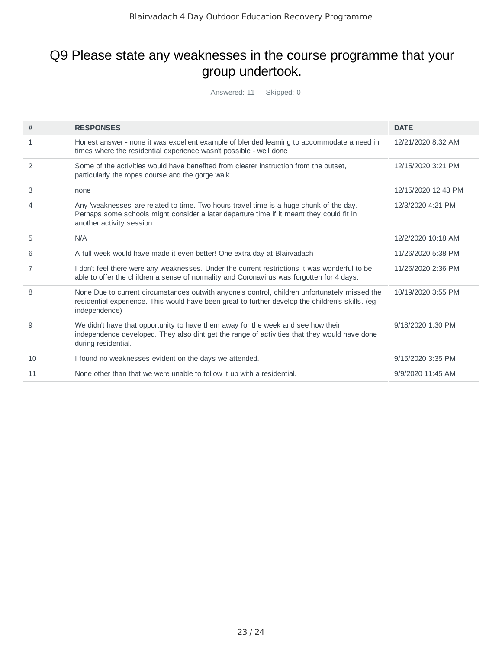## Q9 Please state any weaknesses in the course programme that your group undertook.

| #            | <b>RESPONSES</b>                                                                                                                                                                                                   | <b>DATE</b>         |
|--------------|--------------------------------------------------------------------------------------------------------------------------------------------------------------------------------------------------------------------|---------------------|
| $\mathbf{1}$ | Honest answer - none it was excellent example of blended learning to accommodate a need in<br>times where the residential experience wasn't possible - well done                                                   | 12/21/2020 8:32 AM  |
| 2            | Some of the activities would have benefited from clearer instruction from the outset.<br>particularly the ropes course and the gorge walk.                                                                         | 12/15/2020 3:21 PM  |
| 3            | none                                                                                                                                                                                                               | 12/15/2020 12:43 PM |
| 4            | Any 'weaknesses' are related to time. Two hours travel time is a huge chunk of the day.<br>Perhaps some schools might consider a later departure time if it meant they could fit in<br>another activity session.   | 12/3/2020 4:21 PM   |
| 5            | N/A                                                                                                                                                                                                                | 12/2/2020 10:18 AM  |
| 6            | A full week would have made it even better! One extra day at Blairvadach                                                                                                                                           | 11/26/2020 5:38 PM  |
| 7            | I don't feel there were any weaknesses. Under the current restrictions it was wonderful to be<br>able to offer the children a sense of normality and Coronavirus was forgotten for 4 days.                         | 11/26/2020 2:36 PM  |
| 8            | None Due to current circumstances outwith anyone's control, children unfortunately missed the<br>residential experience. This would have been great to further develop the children's skills. (eg<br>independence) | 10/19/2020 3:55 PM  |
| 9            | We didn't have that opportunity to have them away for the week and see how their<br>independence developed. They also dint get the range of activities that they would have done<br>during residential.            | 9/18/2020 1:30 PM   |
| 10           | I found no weaknesses evident on the days we attended.                                                                                                                                                             | 9/15/2020 3:35 PM   |
| 11           | None other than that we were unable to follow it up with a residential.                                                                                                                                            | 9/9/2020 11:45 AM   |